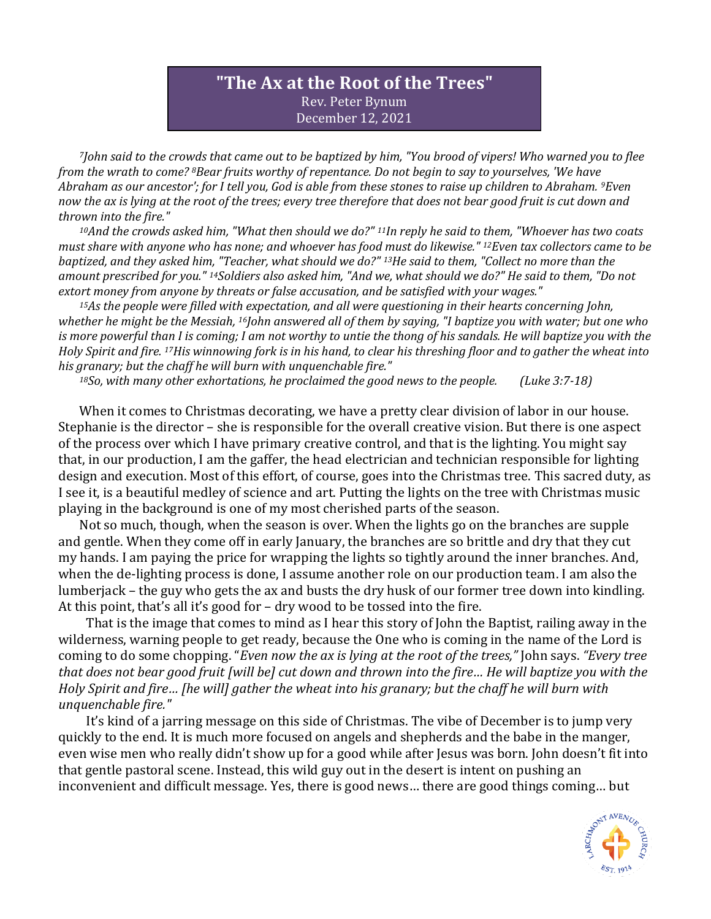## **"The Ax at the Root of the Trees"** Rev. Peter Bynum December 12, 2021

*<sup>7</sup>John said to the crowds that came out to be baptized by him, "You brood of vipers! Who warned you to flee from the wrath to come? <sup>8</sup>Bear fruits worthy of repentance. Do not begin to say to yourselves, 'We have Abraham as our ancestor'; for I tell you, God is able from these stones to raise up children to Abraham. <sup>9</sup>Even now the ax is lying at the root of the trees; every tree therefore that does not bear good fruit is cut down and thrown into the fire."*

*<sup>10</sup>And the crowds asked him, "What then should we do?" <sup>11</sup>In reply he said to them, "Whoever has two coats must share with anyone who has none; and whoever has food must do likewise." <sup>12</sup>Even tax collectors came to be baptized, and they asked him, "Teacher, what should we do?" <sup>13</sup>He said to them, "Collect no more than the amount prescribed for you." <sup>14</sup>Soldiers also asked him, "And we, what should we do?" He said to them, "Do not extort money from anyone by threats or false accusation, and be satisfied with your wages."*

*<sup>15</sup>As the people were filled with expectation, and all were questioning in their hearts concerning John, whether he might be the Messiah, <sup>16</sup>John answered all of them by saying, "I baptize you with water; but one who is more powerful than I is coming; I am not worthy to untie the thong of his sandals. He will baptize you with the Holy Spirit and fire. <sup>17</sup>His winnowing fork is in his hand, to clear his threshing floor and to gather the wheat into his granary; but the chaff he will burn with unquenchable fire."*

*<sup>18</sup>So, with many other exhortations, he proclaimed the good news to the people. (Luke 3:7-18)*

When it comes to Christmas decorating, we have a pretty clear division of labor in our house. Stephanie is the director – she is responsible for the overall creative vision. But there is one aspect of the process over which I have primary creative control, and that is the lighting. You might say that, in our production, I am the gaffer, the head electrician and technician responsible for lighting design and execution. Most of this effort, of course, goes into the Christmas tree. This sacred duty, as I see it, is a beautiful medley of science and art. Putting the lights on the tree with Christmas music playing in the background is one of my most cherished parts of the season.

Not so much, though, when the season is over. When the lights go on the branches are supple and gentle. When they come off in early January, the branches are so brittle and dry that they cut my hands. I am paying the price for wrapping the lights so tightly around the inner branches. And, when the de-lighting process is done, I assume another role on our production team. I am also the lumberjack – the guy who gets the ax and busts the dry husk of our former tree down into kindling. At this point, that's all it's good for – dry wood to be tossed into the fire.

That is the image that comes to mind as I hear this story of John the Baptist, railing away in the wilderness, warning people to get ready, because the One who is coming in the name of the Lord is coming to do some chopping. "*Even now the ax is lying at the root of the trees,"* John says. *"Every tree that does not bear good fruit [will be] cut down and thrown into the fire… He will baptize you with the Holy Spirit and fire… [he will] gather the wheat into his granary; but the chaff he will burn with unquenchable fire."*

It's kind of a jarring message on this side of Christmas. The vibe of December is to jump very quickly to the end. It is much more focused on angels and shepherds and the babe in the manger, even wise men who really didn't show up for a good while after Jesus was born. John doesn't fit into that gentle pastoral scene. Instead, this wild guy out in the desert is intent on pushing an inconvenient and difficult message. Yes, there is good news… there are good things coming… but

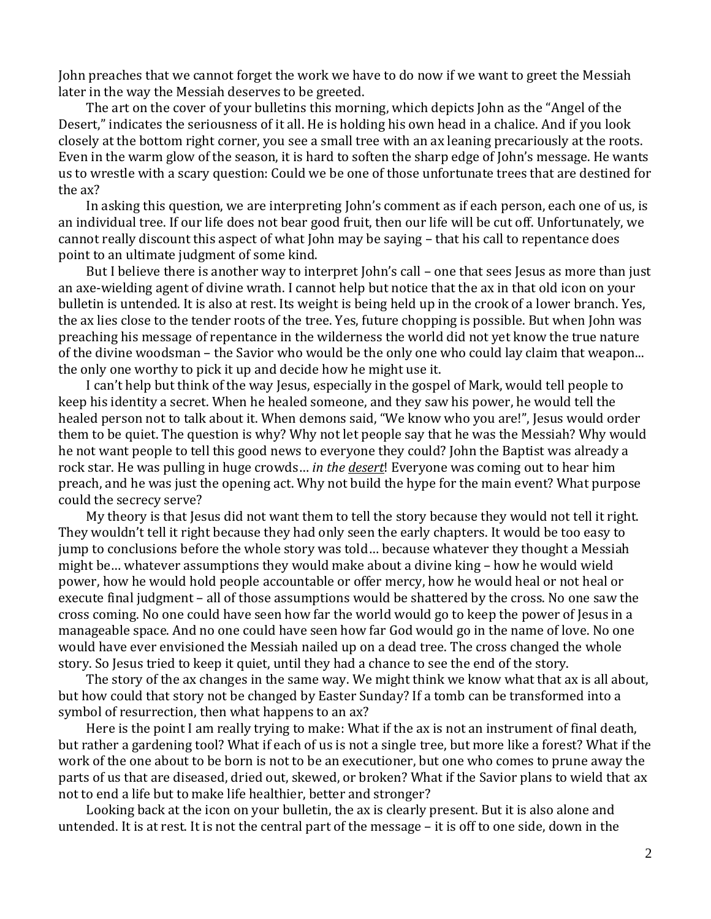John preaches that we cannot forget the work we have to do now if we want to greet the Messiah later in the way the Messiah deserves to be greeted.

The art on the cover of your bulletins this morning, which depicts John as the "Angel of the Desert," indicates the seriousness of it all. He is holding his own head in a chalice. And if you look closely at the bottom right corner, you see a small tree with an ax leaning precariously at the roots. Even in the warm glow of the season, it is hard to soften the sharp edge of John's message. He wants us to wrestle with a scary question: Could we be one of those unfortunate trees that are destined for the ax?

In asking this question, we are interpreting John's comment as if each person, each one of us, is an individual tree. If our life does not bear good fruit, then our life will be cut off. Unfortunately, we cannot really discount this aspect of what John may be saying – that his call to repentance does point to an ultimate judgment of some kind.

But I believe there is another way to interpret John's call – one that sees Jesus as more than just an axe-wielding agent of divine wrath. I cannot help but notice that the ax in that old icon on your bulletin is untended. It is also at rest. Its weight is being held up in the crook of a lower branch. Yes, the ax lies close to the tender roots of the tree. Yes, future chopping is possible. But when John was preaching his message of repentance in the wilderness the world did not yet know the true nature of the divine woodsman – the Savior who would be the only one who could lay claim that weapon... the only one worthy to pick it up and decide how he might use it.

I can't help but think of the way Jesus, especially in the gospel of Mark, would tell people to keep his identity a secret. When he healed someone, and they saw his power, he would tell the healed person not to talk about it. When demons said, "We know who you are!", Jesus would order them to be quiet. The question is why? Why not let people say that he was the Messiah? Why would he not want people to tell this good news to everyone they could? John the Baptist was already a rock star. He was pulling in huge crowds… *in the desert*! Everyone was coming out to hear him preach, and he was just the opening act. Why not build the hype for the main event? What purpose could the secrecy serve?

My theory is that Jesus did not want them to tell the story because they would not tell it right. They wouldn't tell it right because they had only seen the early chapters. It would be too easy to jump to conclusions before the whole story was told… because whatever they thought a Messiah might be… whatever assumptions they would make about a divine king – how he would wield power, how he would hold people accountable or offer mercy, how he would heal or not heal or execute final judgment – all of those assumptions would be shattered by the cross. No one saw the cross coming. No one could have seen how far the world would go to keep the power of Jesus in a manageable space. And no one could have seen how far God would go in the name of love. No one would have ever envisioned the Messiah nailed up on a dead tree. The cross changed the whole story. So Jesus tried to keep it quiet, until they had a chance to see the end of the story.

The story of the ax changes in the same way. We might think we know what that ax is all about, but how could that story not be changed by Easter Sunday? If a tomb can be transformed into a symbol of resurrection, then what happens to an ax?

Here is the point I am really trying to make: What if the ax is not an instrument of final death, but rather a gardening tool? What if each of us is not a single tree, but more like a forest? What if the work of the one about to be born is not to be an executioner, but one who comes to prune away the parts of us that are diseased, dried out, skewed, or broken? What if the Savior plans to wield that ax not to end a life but to make life healthier, better and stronger?

Looking back at the icon on your bulletin, the ax is clearly present. But it is also alone and untended. It is at rest. It is not the central part of the message – it is off to one side, down in the